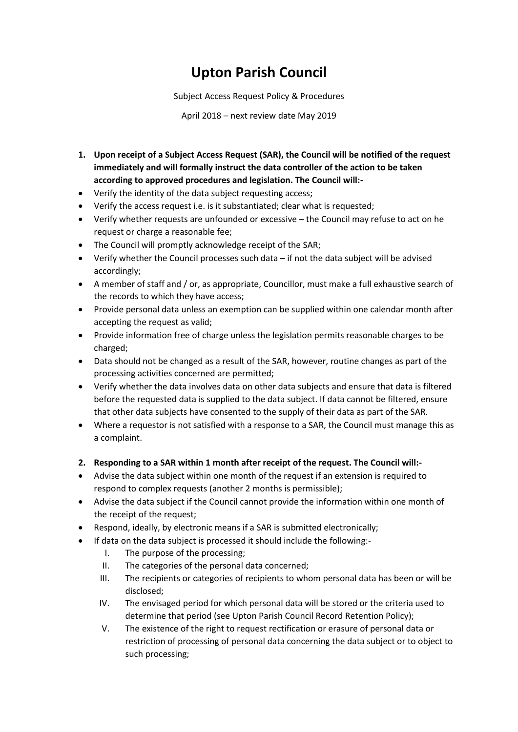# **Upton Parish Council**

Subject Access Request Policy & Procedures

April 2018 – next review date May 2019

- **1. Upon receipt of a Subject Access Request (SAR), the Council will be notified of the request immediately and will formally instruct the data controller of the action to be taken according to approved procedures and legislation. The Council will:-**
- Verify the identity of the data subject requesting access;
- Verify the access request i.e. is it substantiated; clear what is requested;
- Verify whether requests are unfounded or excessive the Council may refuse to act on he request or charge a reasonable fee;
- The Council will promptly acknowledge receipt of the SAR;
- Verify whether the Council processes such data if not the data subject will be advised accordingly;
- A member of staff and / or, as appropriate, Councillor, must make a full exhaustive search of the records to which they have access;
- Provide personal data unless an exemption can be supplied within one calendar month after accepting the request as valid;
- Provide information free of charge unless the legislation permits reasonable charges to be charged;
- Data should not be changed as a result of the SAR, however, routine changes as part of the processing activities concerned are permitted;
- Verify whether the data involves data on other data subjects and ensure that data is filtered before the requested data is supplied to the data subject. If data cannot be filtered, ensure that other data subjects have consented to the supply of their data as part of the SAR.
- Where a requestor is not satisfied with a response to a SAR, the Council must manage this as a complaint.
- **2. Responding to a SAR within 1 month after receipt of the request. The Council will:-**
- Advise the data subject within one month of the request if an extension is required to respond to complex requests (another 2 months is permissible);
- Advise the data subject if the Council cannot provide the information within one month of the receipt of the request;
- Respond, ideally, by electronic means if a SAR is submitted electronically;
- If data on the data subject is processed it should include the following:-
	- I. The purpose of the processing;
	- II. The categories of the personal data concerned;
	- III. The recipients or categories of recipients to whom personal data has been or will be disclosed;
	- IV. The envisaged period for which personal data will be stored or the criteria used to determine that period (see Upton Parish Council Record Retention Policy);
	- V. The existence of the right to request rectification or erasure of personal data or restriction of processing of personal data concerning the data subject or to object to such processing;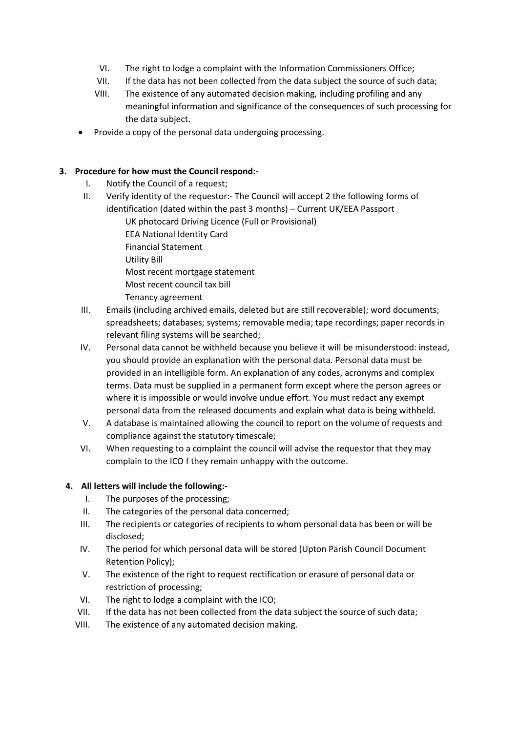- VI. The right to lodge a complaint with the Information Commissioners Office;
- VII. If the data has not been collected from the data subject the source of such data;
- VIII. The existence of any automated decision making, including profiling and any meaningful information and significance of the consequences of such processing for the data subject.
- Provide a copy of the personal data undergoing processing.

# **3. Procedure for how must the Council respond:-**

- I. Notify the Council of a request;
- II. Verify identity of the requestor:- The Council will accept 2 the following forms of identification (dated within the past 3 months) – Current UK/EEA Passport
	- UK photocard Driving Licence (Full or Provisional)
	- EEA National Identity Card
	- Financial Statement
	- Utility Bill
	- Most recent mortgage statement
	- Most recent council tax bill
	- Tenancy agreement
- III. Emails (including archived emails, deleted but are still recoverable); word documents; spreadsheets; databases; systems; removable media; tape recordings; paper records in relevant filing systems will be searched;
- IV. Personal data cannot be withheld because you believe it will be misunderstood: instead, you should provide an explanation with the personal data. Personal data must be provided in an intelligible form. An explanation of any codes, acronyms and complex terms. Data must be supplied in a permanent form except where the person agrees or where it is impossible or would involve undue effort. You must redact any exempt personal data from the released documents and explain what data is being withheld.
- V. A database is maintained allowing the council to report on the volume of requests and compliance against the statutory timescale;
- VI. When requesting to a complaint the council will advise the requestor that they may complain to the ICO f they remain unhappy with the outcome.

# **4. All letters will include the following:-**

- I. The purposes of the processing;
- II. The categories of the personal data concerned;
- III. The recipients or categories of recipients to whom personal data has been or will be disclosed;
- IV. The period for which personal data will be stored (Upton Parish Council Document Retention Policy);
- V. The existence of the right to request rectification or erasure of personal data or restriction of processing;
- VI. The right to lodge a complaint with the ICO;
- VII. If the data has not been collected from the data subject the source of such data;
- VIII. The existence of any automated decision making.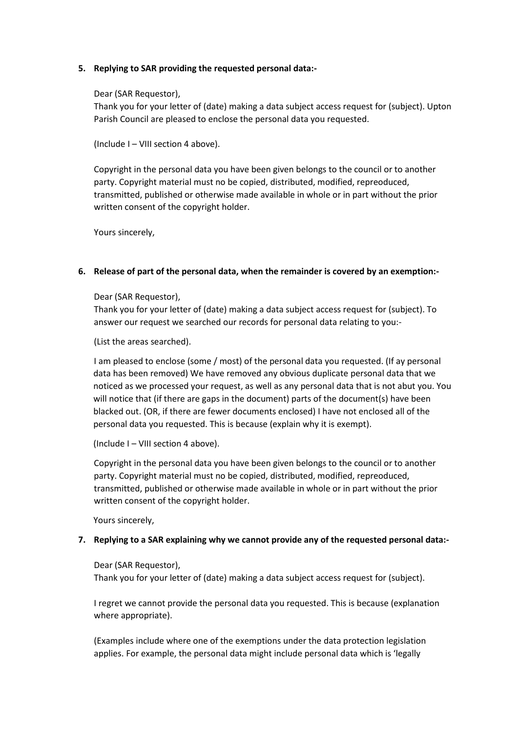### **5. Replying to SAR providing the requested personal data:-**

### Dear (SAR Requestor),

Thank you for your letter of (date) making a data subject access request for (subject). Upton Parish Council are pleased to enclose the personal data you requested.

(Include I – VIII section 4 above).

Copyright in the personal data you have been given belongs to the council or to another party. Copyright material must no be copied, distributed, modified, repreoduced, transmitted, published or otherwise made available in whole or in part without the prior written consent of the copyright holder.

Yours sincerely,

## **6. Release of part of the personal data, when the remainder is covered by an exemption:-**

#### Dear (SAR Requestor),

Thank you for your letter of (date) making a data subject access request for (subject). To answer our request we searched our records for personal data relating to you:-

(List the areas searched).

I am pleased to enclose (some / most) of the personal data you requested. (If ay personal data has been removed) We have removed any obvious duplicate personal data that we noticed as we processed your request, as well as any personal data that is not abut you. You will notice that (if there are gaps in the document) parts of the document(s) have been blacked out. (OR, if there are fewer documents enclosed) I have not enclosed all of the personal data you requested. This is because (explain why it is exempt).

(Include I – VIII section 4 above).

Copyright in the personal data you have been given belongs to the council or to another party. Copyright material must no be copied, distributed, modified, repreoduced, transmitted, published or otherwise made available in whole or in part without the prior written consent of the copyright holder.

Yours sincerely,

#### **7. Replying to a SAR explaining why we cannot provide any of the requested personal data:-**

#### Dear (SAR Requestor),

Thank you for your letter of (date) making a data subject access request for (subject).

I regret we cannot provide the personal data you requested. This is because (explanation where appropriate).

(Examples include where one of the exemptions under the data protection legislation applies. For example, the personal data might include personal data which is 'legally